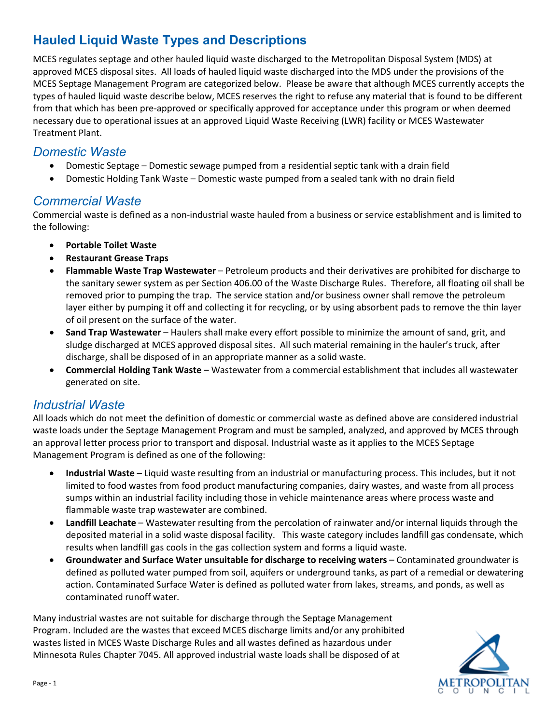# **Hauled Liquid Waste Types and Descriptions**

MCES regulates septage and other hauled liquid waste discharged to the Metropolitan Disposal System (MDS) at approved MCES disposal sites. All loads of hauled liquid waste discharged into the MDS under the provisions of the MCES Septage Management Program are categorized below. Please be aware that although MCES currently accepts the types of hauled liquid waste describe below, MCES reserves the right to refuse any material that is found to be different from that which has been pre-approved or specifically approved for acceptance under this program or when deemed necessary due to operational issues at an approved Liquid Waste Receiving (LWR) facility or MCES Wastewater Treatment Plant.

## *Domestic Waste*

- Domestic Septage Domestic sewage pumped from a residential septic tank with a drain field
- Domestic Holding Tank Waste Domestic waste pumped from a sealed tank with no drain field

#### *Commercial Waste*

Commercial waste is defined as a non-industrial waste hauled from a business or service establishment and is limited to the following:

- **Portable Toilet Waste**
- **Restaurant Grease Traps**
- **Flammable Waste Trap Wastewater** Petroleum products and their derivatives are prohibited for discharge to the sanitary sewer system as per Section 406.00 of the Waste Discharge Rules. Therefore, all floating oil shall be removed prior to pumping the trap. The service station and/or business owner shall remove the petroleum layer either by pumping it off and collecting it for recycling, or by using absorbent pads to remove the thin layer of oil present on the surface of the water.
- **Sand Trap Wastewater** Haulers shall make every effort possible to minimize the amount of sand, grit, and sludge discharged at MCES approved disposal sites. All such material remaining in the hauler's truck, after discharge, shall be disposed of in an appropriate manner as a solid waste.
- **Commercial Holding Tank Waste** Wastewater from a commercial establishment that includes all wastewater generated on site.

#### *Industrial Waste*

All loads which do not meet the definition of domestic or commercial waste as defined above are considered industrial waste loads under the Septage Management Program and must be sampled, analyzed, and approved by MCES through an approval letter process prior to transport and disposal. Industrial waste as it applies to the MCES Septage Management Program is defined as one of the following:

- **Industrial Waste** Liquid waste resulting from an industrial or manufacturing process. This includes, but it not limited to food wastes from food product manufacturing companies, dairy wastes, and waste from all process sumps within an industrial facility including those in vehicle maintenance areas where process waste and flammable waste trap wastewater are combined.
- **Landfill Leachate** Wastewater resulting from the percolation of rainwater and/or internal liquids through the deposited material in a solid waste disposal facility. This waste category includes landfill gas condensate, which results when landfill gas cools in the gas collection system and forms a liquid waste.
- **Groundwater and Surface Water unsuitable for discharge to receiving waters** Contaminated groundwater is defined as polluted water pumped from soil, aquifers or underground tanks, as part of a remedial or dewatering action. Contaminated Surface Water is defined as polluted water from lakes, streams, and ponds, as well as contaminated runoff water.

Many industrial wastes are not suitable for discharge through the Septage Management Program. Included are the wastes that exceed MCES discharge limits and/or any prohibited wastes listed in MCES Waste Discharge Rules and all wastes defined as hazardous under Minnesota Rules Chapter 7045. All approved industrial waste loads shall be disposed of at